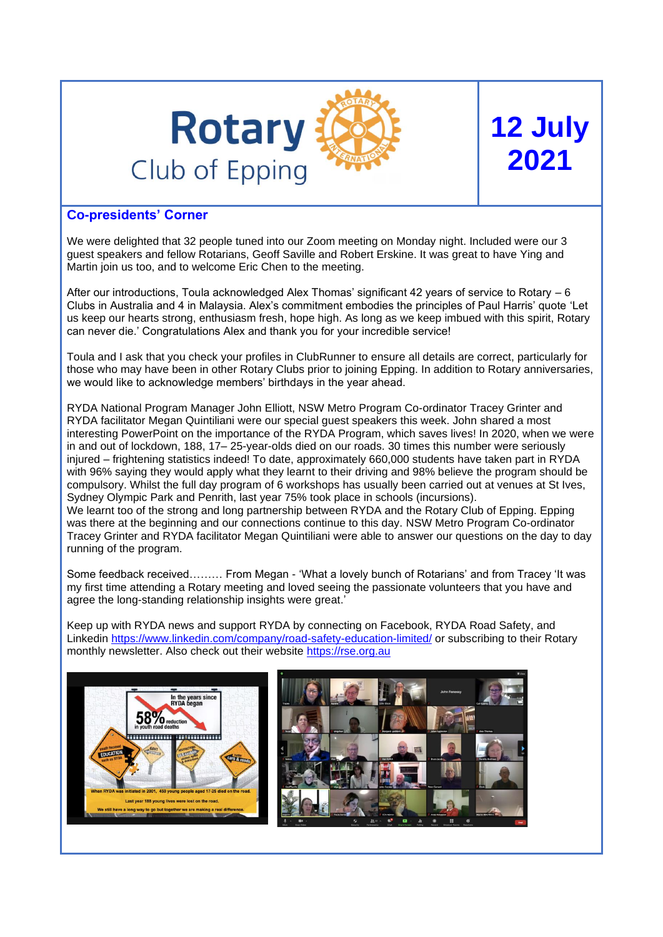

# **12 July 2021**

## **Co-presidents' Corner**

We were delighted that 32 people tuned into our Zoom meeting on Monday night. Included were our 3 guest speakers and fellow Rotarians, Geoff Saville and Robert Erskine. It was great to have Ying and Martin join us too, and to welcome Eric Chen to the meeting.

After our introductions, Toula acknowledged Alex Thomas' significant 42 years of service to Rotary – 6 Clubs in Australia and 4 in Malaysia. Alex's commitment embodies the principles of Paul Harris' quote 'Let us keep our hearts strong, enthusiasm fresh, hope high. As long as we keep imbued with this spirit, Rotary can never die.' Congratulations Alex and thank you for your incredible service!

Toula and I ask that you check your profiles in ClubRunner to ensure all details are correct, particularly for those who may have been in other Rotary Clubs prior to joining Epping. In addition to Rotary anniversaries, we would like to acknowledge members' birthdays in the year ahead.

RYDA National Program Manager John Elliott, NSW Metro Program Co-ordinator Tracey Grinter and RYDA facilitator Megan Quintiliani were our special guest speakers this week. John shared a most interesting PowerPoint on the importance of the RYDA Program, which saves lives! In 2020, when we were in and out of lockdown, 188, 17– 25-year-olds died on our roads. 30 times this number were seriously injured – frightening statistics indeed! To date, approximately 660,000 students have taken part in RYDA with 96% saying they would apply what they learnt to their driving and 98% believe the program should be compulsory. Whilst the full day program of 6 workshops has usually been carried out at venues at St Ives, Sydney Olympic Park and Penrith, last year 75% took place in schools (incursions). We learnt too of the strong and long partnership between RYDA and the Rotary Club of Epping. Epping was there at the beginning and our connections continue to this day. NSW Metro Program Co-ordinator Tracey Grinter and RYDA facilitator Megan Quintiliani were able to answer our questions on the day to day running of the program.

Some feedback received……… From Megan - 'What a lovely bunch of Rotarians' and from Tracey 'It was my first time attending a Rotary meeting and loved seeing the passionate volunteers that you have and agree the long-standing relationship insights were great.'

Keep up with RYDA news and support RYDA by connecting on Facebook, RYDA Road Safety, and Linkedin<https://www.linkedin.com/company/road-safety-education-limited/> or subscribing to their Rotary monthly newsletter. Also check out their website [https://rse.org.au](https://rse.org.au/)

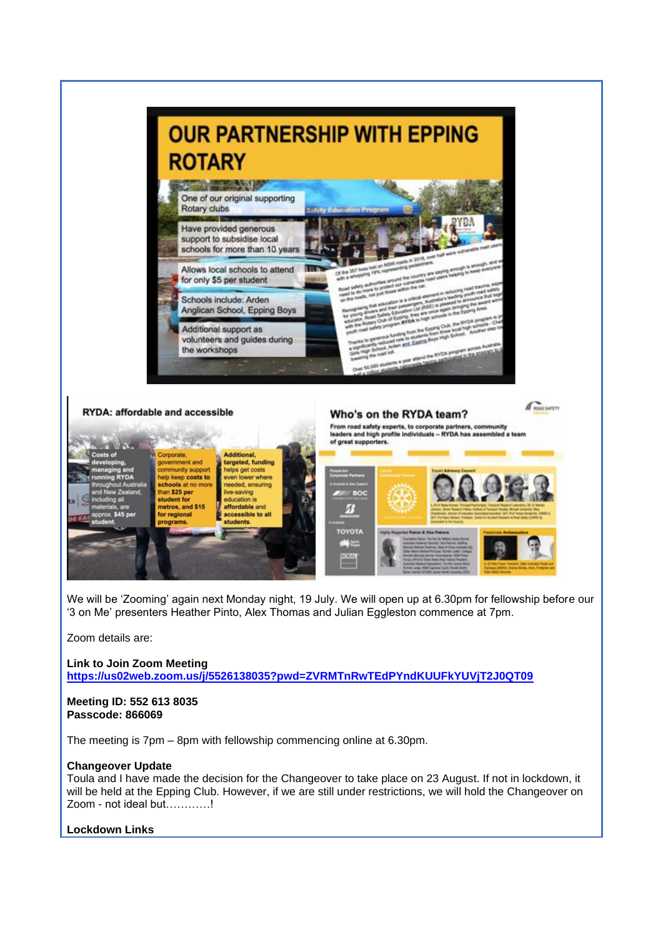

Zoom details are:

**Link to Join Zoom Meeting <https://us02web.zoom.us/j/5526138035?pwd=ZVRMTnRwTEdPYndKUUFkYUVjT2J0QT09>**

## **Meeting ID: 552 613 8035 Passcode: 866069**

The meeting is 7pm – 8pm with fellowship commencing online at 6.30pm.

## **Changeover Update**

Toula and I have made the decision for the Changeover to take place on 23 August. If not in lockdown, it will be held at the Epping Club. However, if we are still under restrictions, we will hold the Changeover on Zoom - not ideal but…………!

## **Lockdown Links**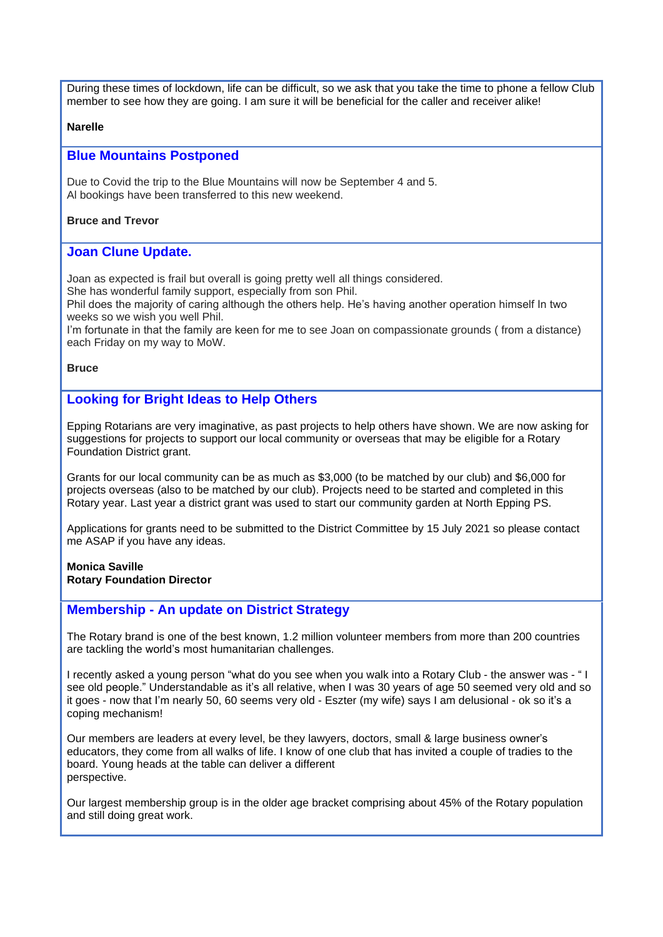During these times of lockdown, life can be difficult, so we ask that you take the time to phone a fellow Club member to see how they are going. I am sure it will be beneficial for the caller and receiver alike!

## **Narelle**

## **Blue Mountains Postponed**

Due to Covid the trip to the Blue Mountains will now be September 4 and 5. Al bookings have been transferred to this new weekend.

## **Bruce and Trevor**

## **Joan Clune Update.**

Joan as expected is frail but overall is going pretty well all things considered.

She has wonderful family support, especially from son Phil.

Phil does the majority of caring although the others help. He's having another operation himself In two weeks so we wish you well Phil.

I'm fortunate in that the family are keen for me to see Joan on compassionate grounds ( from a distance) each Friday on my way to MoW.

## **Bruce**

## **Looking for Bright Ideas to Help Others**

Epping Rotarians are very imaginative, as past projects to help others have shown. We are now asking for suggestions for projects to support our local community or overseas that may be eligible for a Rotary Foundation District grant.

Grants for our local community can be as much as \$3,000 (to be matched by our club) and \$6,000 for projects overseas (also to be matched by our club). Projects need to be started and completed in this Rotary year. Last year a district grant was used to start our community garden at North Epping PS.

Applications for grants need to be submitted to the District Committee by 15 July 2021 so please contact me ASAP if you have any ideas.

#### **Monica Saville Rotary Foundation Director**

## **Membership - An update on District Strategy**

The Rotary brand is one of the best known, 1.2 million volunteer members from more than 200 countries are tackling the world's most humanitarian challenges.

I recently asked a young person "what do you see when you walk into a Rotary Club - the answer was - " I see old people." Understandable as it's all relative, when I was 30 years of age 50 seemed very old and so it goes - now that I'm nearly 50, 60 seems very old - Eszter (my wife) says I am delusional - ok so it's a coping mechanism!

Our members are leaders at every level, be they lawyers, doctors, small & large business owner's educators, they come from all walks of life. I know of one club that has invited a couple of tradies to the board. Young heads at the table can deliver a different perspective.

Our largest membership group is in the older age bracket comprising about 45% of the Rotary population and still doing great work.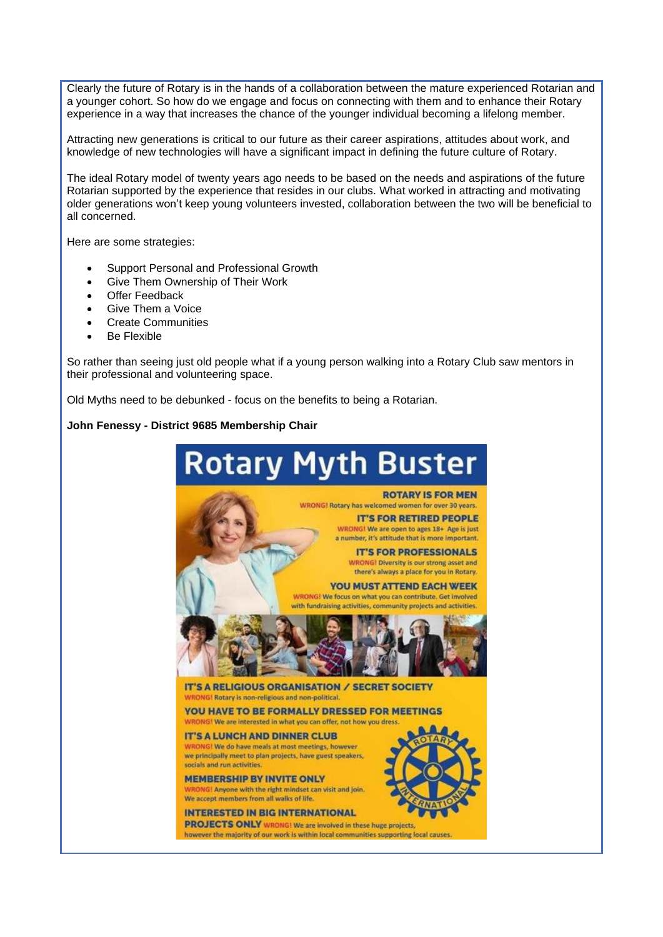Clearly the future of Rotary is in the hands of a collaboration between the mature experienced Rotarian and a younger cohort. So how do we engage and focus on connecting with them and to enhance their Rotary experience in a way that increases the chance of the younger individual becoming a lifelong member.

Attracting new generations is critical to our future as their career aspirations, attitudes about work, and knowledge of new technologies will have a significant impact in defining the future culture of Rotary.

The ideal Rotary model of twenty years ago needs to be based on the needs and aspirations of the future Rotarian supported by the experience that resides in our clubs. What worked in attracting and motivating older generations won't keep young volunteers invested, collaboration between the two will be beneficial to all concerned.

Here are some strategies:

- Support Personal and Professional Growth
- Give Them Ownership of Their Work
- **Offer Feedback**
- Give Them a Voice
- Create Communities
- Be Flexible

So rather than seeing just old people what if a young person walking into a Rotary Club saw mentors in their professional and volunteering space.

Old Myths need to be debunked - focus on the benefits to being a Rotarian.

## **John Fenessy - District 9685 Membership Chair**

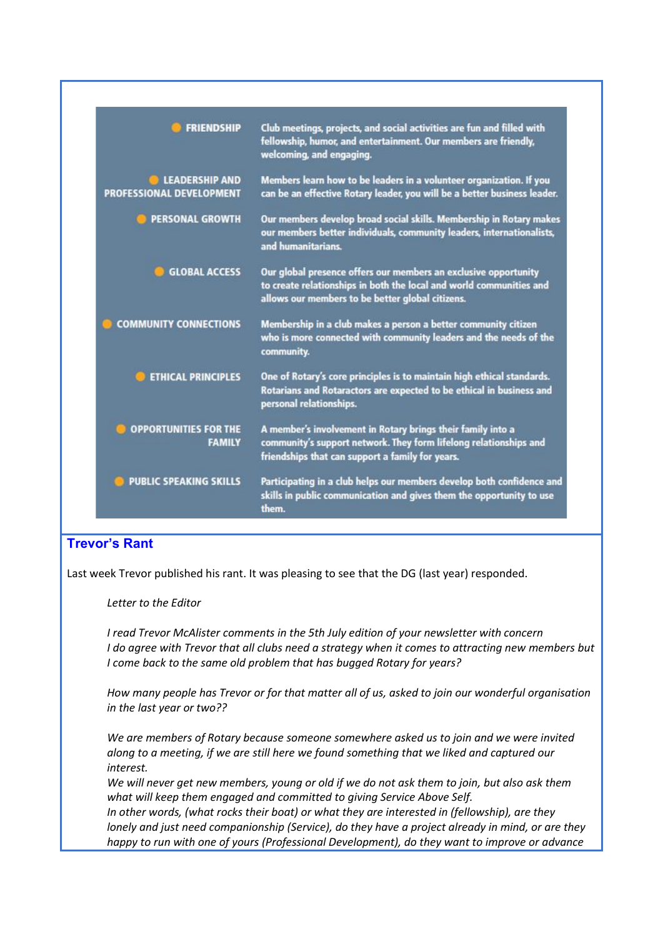| <b>FRIENDSHIP</b>                                 | Club meetings, projects, and social activities are fun and filled with<br>fellowship, humor, and entertainment. Our members are friendly,<br>welcoming, and engaging.                      |
|---------------------------------------------------|--------------------------------------------------------------------------------------------------------------------------------------------------------------------------------------------|
| <b>LEADERSHIP AND</b><br>PROFESSIONAL DEVELOPMENT | Members learn how to be leaders in a volunteer organization. If you<br>can be an effective Rotary leader, you will be a better business leader.                                            |
| <b>PERSONAL GROWTH</b>                            | Our members develop broad social skills. Membership in Rotary makes<br>our members better individuals, community leaders, internationalists,<br>and humanitarians.                         |
| <b>GLOBAL ACCESS</b>                              | Our global presence offers our members an exclusive opportunity<br>to create relationships in both the local and world communities and<br>allows our members to be better global citizens. |
| <b>COMMUNITY CONNECTIONS</b>                      | Membership in a club makes a person a better community citizen<br>who is more connected with community leaders and the needs of the<br>community.                                          |
| <b>ETHICAL PRINCIPLES</b>                         | One of Rotary's core principles is to maintain high ethical standards.<br>Rotarians and Rotaractors are expected to be ethical in business and<br>personal relationships.                  |
| <b>OPPORTUNITIES FOR THE</b><br><b>FAMILY</b>     | A member's involvement in Rotary brings their family into a<br>community's support network. They form lifelong relationships and<br>friendships that can support a family for years.       |
| <b>PUBLIC SPEAKING SKILLS</b>                     | Participating in a club helps our members develop both confidence and<br>skills in public communication and gives them the opportunity to use<br>them.                                     |

# **Trevor's Rant**

Last week Trevor published his rant. It was pleasing to see that the DG (last year) responded.

*Letter to the Editor*

*I read Trevor McAlister comments in the 5th July edition of your newsletter with concern I do agree with Trevor that all clubs need a strategy when it comes to attracting new members but I come back to the same old problem that has bugged Rotary for years?*

*How many people has Trevor or for that matter all of us, asked to join our wonderful organisation in the last year or two??*

*We are members of Rotary because someone somewhere asked us to join and we were invited along to a meeting, if we are still here we found something that we liked and captured our interest.*

*We will never get new members, young or old if we do not ask them to join, but also ask them what will keep them engaged and committed to giving Service Above Self.*

*In other words, (what rocks their boat) or what they are interested in (fellowship), are they lonely and just need companionship (Service), do they have a project already in mind, or are they happy to run with one of yours (Professional Development), do they want to improve or advance*